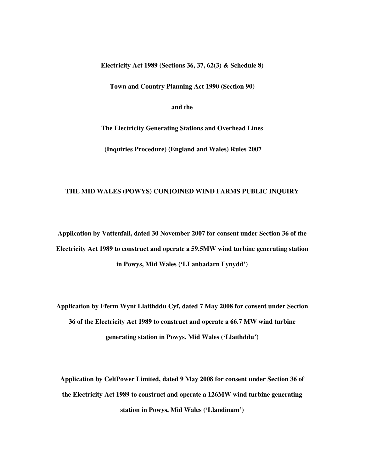**Electricity Act 1989 (Sections 36, 37, 62(3) & Schedule 8)** 

**Town and Country Planning Act 1990 (Section 90)** 

**and the** 

**The Electricity Generating Stations and Overhead Lines** 

 **(Inquiries Procedure) (England and Wales) Rules 2007** 

#### **THE MID WALES (POWYS) CONJOINED WIND FARMS PUBLIC INQUIRY**

**Application by Vattenfall, dated 30 November 2007 for consent under Section 36 of the Electricity Act 1989 to construct and operate a 59.5MW wind turbine generating station in Powys, Mid Wales ('LLanbadarn Fynydd')** 

**Application by Fferm Wynt Llaithddu Cyf, dated 7 May 2008 for consent under Section 36 of the Electricity Act 1989 to construct and operate a 66.7 MW wind turbine generating station in Powys, Mid Wales ('Llaithddu')** 

**Application by CeltPower Limited, dated 9 May 2008 for consent under Section 36 of the Electricity Act 1989 to construct and operate a 126MW wind turbine generating station in Powys, Mid Wales ('Llandinam')**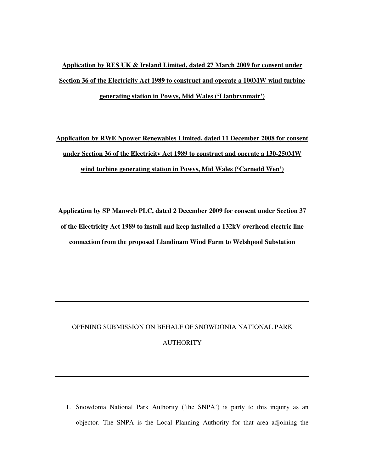# **Application by RES UK & Ireland Limited, dated 27 March 2009 for consent under Section 36 of the Electricity Act 1989 to construct and operate a 100MW wind turbine generating station in Powys, Mid Wales ('Llanbrynmair')**

**Application by RWE Npower Renewables Limited, dated 11 December 2008 for consent under Section 36 of the Electricity Act 1989 to construct and operate a 130-250MW wind turbine generating station in Powys, Mid Wales ('Carnedd Wen')** 

**Application by SP Manweb PLC, dated 2 December 2009 for consent under Section 37 of the Electricity Act 1989 to install and keep installed a 132kV overhead electric line connection from the proposed Llandinam Wind Farm to Welshpool Substation**

## OPENING SUBMISSION ON BEHALF OF SNOWDONIA NATIONAL PARK AUTHORITY

1. Snowdonia National Park Authority ('the SNPA') is party to this inquiry as an objector. The SNPA is the Local Planning Authority for that area adjoining the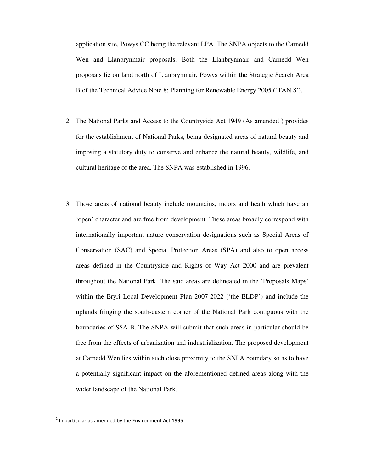application site, Powys CC being the relevant LPA. The SNPA objects to the Carnedd Wen and Llanbrynmair proposals. Both the Llanbrynmair and Carnedd Wen proposals lie on land north of Llanbrynmair, Powys within the Strategic Search Area B of the Technical Advice Note 8: Planning for Renewable Energy 2005 ('TAN 8').

- 2. The National Parks and Access to the Countryside Act 1949 (As amended<sup>1</sup>) provides for the establishment of National Parks, being designated areas of natural beauty and imposing a statutory duty to conserve and enhance the natural beauty, wildlife, and cultural heritage of the area. The SNPA was established in 1996.
- 3. Those areas of national beauty include mountains, moors and heath which have an 'open' character and are free from development. These areas broadly correspond with internationally important nature conservation designations such as Special Areas of Conservation (SAC) and Special Protection Areas (SPA) and also to open access areas defined in the Countryside and Rights of Way Act 2000 and are prevalent throughout the National Park. The said areas are delineated in the 'Proposals Maps' within the Eryri Local Development Plan 2007-2022 ('the ELDP') and include the uplands fringing the south-eastern corner of the National Park contiguous with the boundaries of SSA B. The SNPA will submit that such areas in particular should be free from the effects of urbanization and industrialization. The proposed development at Carnedd Wen lies within such close proximity to the SNPA boundary so as to have a potentially significant impact on the aforementioned defined areas along with the wider landscape of the National Park.

1

 $<sup>1</sup>$  In particular as amended by the Environment Act 1995</sup>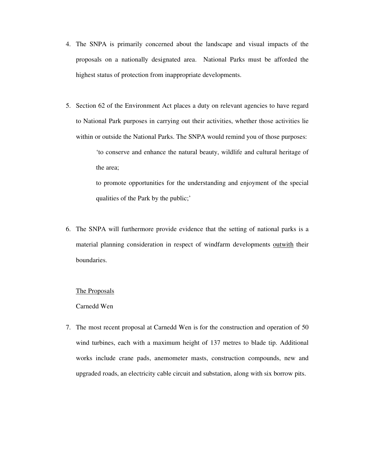- 4. The SNPA is primarily concerned about the landscape and visual impacts of the proposals on a nationally designated area. National Parks must be afforded the highest status of protection from inappropriate developments.
- 5. Section 62 of the Environment Act places a duty on relevant agencies to have regard to National Park purposes in carrying out their activities, whether those activities lie within or outside the National Parks. The SNPA would remind you of those purposes:

'to conserve and enhance the natural beauty, wildlife and cultural heritage of the area;

to promote opportunities for the understanding and enjoyment of the special qualities of the Park by the public;'

6. The SNPA will furthermore provide evidence that the setting of national parks is a material planning consideration in respect of windfarm developments outwith their boundaries.

#### The Proposals

#### Carnedd Wen

7. The most recent proposal at Carnedd Wen is for the construction and operation of 50 wind turbines, each with a maximum height of 137 metres to blade tip. Additional works include crane pads, anemometer masts, construction compounds, new and upgraded roads, an electricity cable circuit and substation, along with six borrow pits.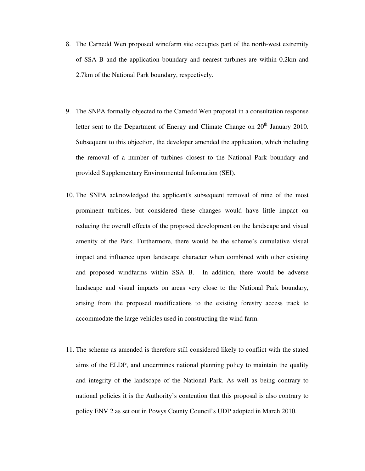- 8. The Carnedd Wen proposed windfarm site occupies part of the north-west extremity of SSA B and the application boundary and nearest turbines are within 0.2km and 2.7km of the National Park boundary, respectively.
- 9. The SNPA formally objected to the Carnedd Wen proposal in a consultation response letter sent to the Department of Energy and Climate Change on 20<sup>th</sup> January 2010. Subsequent to this objection, the developer amended the application, which including the removal of a number of turbines closest to the National Park boundary and provided Supplementary Environmental Information (SEI).
- 10. The SNPA acknowledged the applicant's subsequent removal of nine of the most prominent turbines, but considered these changes would have little impact on reducing the overall effects of the proposed development on the landscape and visual amenity of the Park. Furthermore, there would be the scheme's cumulative visual impact and influence upon landscape character when combined with other existing and proposed windfarms within SSA B. In addition, there would be adverse landscape and visual impacts on areas very close to the National Park boundary, arising from the proposed modifications to the existing forestry access track to accommodate the large vehicles used in constructing the wind farm.
- 11. The scheme as amended is therefore still considered likely to conflict with the stated aims of the ELDP, and undermines national planning policy to maintain the quality and integrity of the landscape of the National Park. As well as being contrary to national policies it is the Authority's contention that this proposal is also contrary to policy ENV 2 as set out in Powys County Council's UDP adopted in March 2010.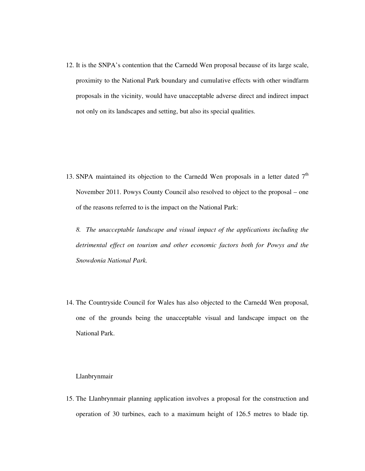12. It is the SNPA's contention that the Carnedd Wen proposal because of its large scale, proximity to the National Park boundary and cumulative effects with other windfarm proposals in the vicinity, would have unacceptable adverse direct and indirect impact not only on its landscapes and setting, but also its special qualities.

13. SNPA maintained its objection to the Carnedd Wen proposals in a letter dated  $7<sup>th</sup>$ November 2011. Powys County Council also resolved to object to the proposal – one of the reasons referred to is the impact on the National Park:

*8. The unacceptable landscape and visual impact of the applications including the detrimental effect on tourism and other economic factors both for Powys and the Snowdonia National Park.* 

14. The Countryside Council for Wales has also objected to the Carnedd Wen proposal, one of the grounds being the unacceptable visual and landscape impact on the National Park.

#### Llanbrynmair

15. The Llanbrynmair planning application involves a proposal for the construction and operation of 30 turbines, each to a maximum height of 126.5 metres to blade tip.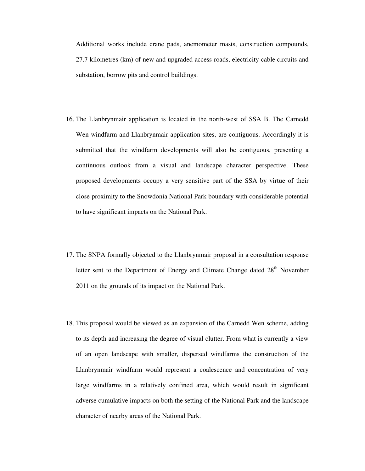Additional works include crane pads, anemometer masts, construction compounds, 27.7 kilometres (km) of new and upgraded access roads, electricity cable circuits and substation, borrow pits and control buildings.

- 16. The Llanbrynmair application is located in the north-west of SSA B. The Carnedd Wen windfarm and Llanbrynmair application sites, are contiguous. Accordingly it is submitted that the windfarm developments will also be contiguous, presenting a continuous outlook from a visual and landscape character perspective. These proposed developments occupy a very sensitive part of the SSA by virtue of their close proximity to the Snowdonia National Park boundary with considerable potential to have significant impacts on the National Park.
- 17. The SNPA formally objected to the Llanbrynmair proposal in a consultation response letter sent to the Department of Energy and Climate Change dated 28<sup>th</sup> November 2011 on the grounds of its impact on the National Park.
- 18. This proposal would be viewed as an expansion of the Carnedd Wen scheme, adding to its depth and increasing the degree of visual clutter. From what is currently a view of an open landscape with smaller, dispersed windfarms the construction of the Llanbrynmair windfarm would represent a coalescence and concentration of very large windfarms in a relatively confined area, which would result in significant adverse cumulative impacts on both the setting of the National Park and the landscape character of nearby areas of the National Park.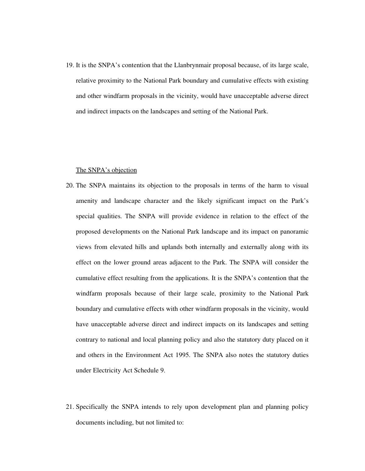19. It is the SNPA's contention that the Llanbrynmair proposal because, of its large scale, relative proximity to the National Park boundary and cumulative effects with existing and other windfarm proposals in the vicinity, would have unacceptable adverse direct and indirect impacts on the landscapes and setting of the National Park.

#### The SNPA's objection

- 20. The SNPA maintains its objection to the proposals in terms of the harm to visual amenity and landscape character and the likely significant impact on the Park's special qualities. The SNPA will provide evidence in relation to the effect of the proposed developments on the National Park landscape and its impact on panoramic views from elevated hills and uplands both internally and externally along with its effect on the lower ground areas adjacent to the Park. The SNPA will consider the cumulative effect resulting from the applications. It is the SNPA's contention that the windfarm proposals because of their large scale, proximity to the National Park boundary and cumulative effects with other windfarm proposals in the vicinity, would have unacceptable adverse direct and indirect impacts on its landscapes and setting contrary to national and local planning policy and also the statutory duty placed on it and others in the Environment Act 1995. The SNPA also notes the statutory duties under Electricity Act Schedule 9.
- 21. Specifically the SNPA intends to rely upon development plan and planning policy documents including, but not limited to: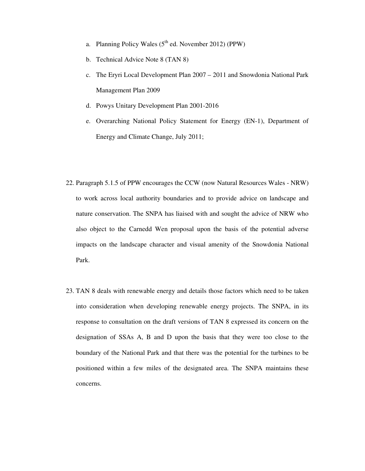- a. Planning Policy Wales  $(5^{th}$  ed. November 2012) (PPW)
- b. Technical Advice Note 8 (TAN 8)
- c. The Eryri Local Development Plan 2007 2011 and Snowdonia National Park Management Plan 2009
- d. Powys Unitary Development Plan 2001-2016
- e. Overarching National Policy Statement for Energy (EN-1), Department of Energy and Climate Change, July 2011;
- 22. Paragraph 5.1.5 of PPW encourages the CCW (now Natural Resources Wales NRW) to work across local authority boundaries and to provide advice on landscape and nature conservation. The SNPA has liaised with and sought the advice of NRW who also object to the Carnedd Wen proposal upon the basis of the potential adverse impacts on the landscape character and visual amenity of the Snowdonia National Park.
- 23. TAN 8 deals with renewable energy and details those factors which need to be taken into consideration when developing renewable energy projects. The SNPA, in its response to consultation on the draft versions of TAN 8 expressed its concern on the designation of SSAs A, B and D upon the basis that they were too close to the boundary of the National Park and that there was the potential for the turbines to be positioned within a few miles of the designated area. The SNPA maintains these concerns.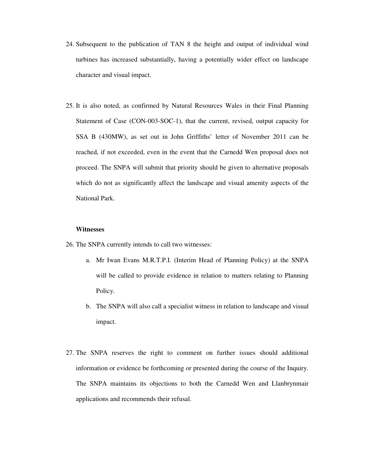- 24. Subsequent to the publication of TAN 8 the height and output of individual wind turbines has increased substantially, having a potentially wider effect on landscape character and visual impact.
- 25. It is also noted, as confirmed by Natural Resources Wales in their Final Planning Statement of Case (CON-003-SOC-1), that the current, revised, output capacity for SSA B (430MW), as set out in John Griffiths' letter of November 2011 can be reached, if not exceeded, even in the event that the Carnedd Wen proposal does not proceed. The SNPA will submit that priority should be given to alternative proposals which do not as significantly affect the landscape and visual amenity aspects of the National Park.

#### **Witnesses**

26. The SNPA currently intends to call two witnesses:

- a. Mr Iwan Evans M.R.T.P.I. (Interim Head of Planning Policy) at the SNPA will be called to provide evidence in relation to matters relating to Planning Policy.
- b. The SNPA will also call a specialist witness in relation to landscape and visual impact.
- 27. The SNPA reserves the right to comment on further issues should additional information or evidence be forthcoming or presented during the course of the Inquiry. The SNPA maintains its objections to both the Carnedd Wen and Llanbrynmair applications and recommends their refusal.